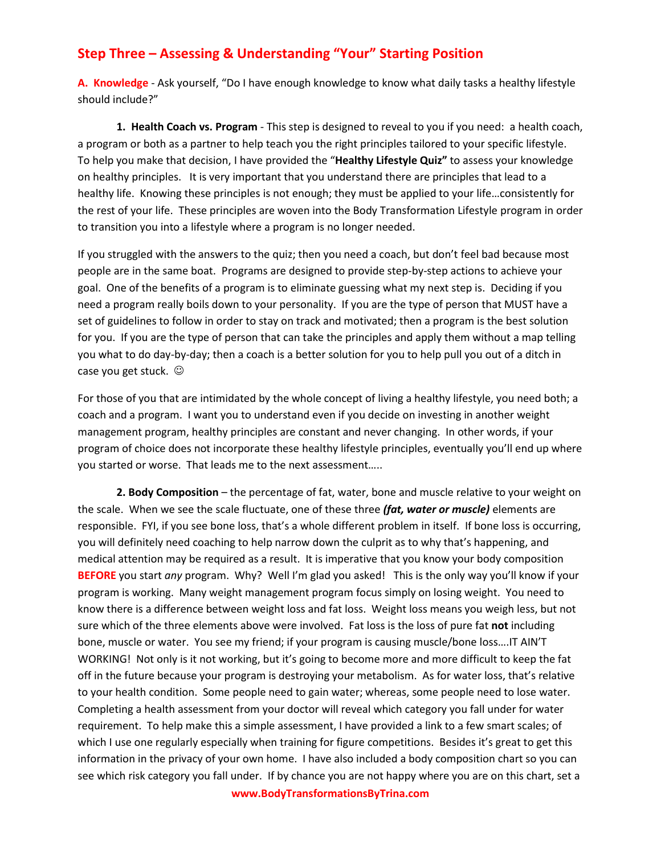## **Step Three – Assessing & Understanding "Your" Starting Position**

**A. Knowledge** - Ask yourself, "Do I have enough knowledge to know what daily tasks a healthy lifestyle should include?"

**1. Health Coach vs. Program** - This step is designed to reveal to you if you need: a health coach, a program or both as a partner to help teach you the right principles tailored to your specific lifestyle. To help you make that decision, I have provided the "**Healthy Lifestyle Quiz"** to assess your knowledge on healthy principles. It is very important that you understand there are principles that lead to a healthy life. Knowing these principles is not enough; they must be applied to your life…consistently for the rest of your life. These principles are woven into the Body Transformation Lifestyle program in order to transition you into a lifestyle where a program is no longer needed.

If you struggled with the answers to the quiz; then you need a coach, but don't feel bad because most people are in the same boat. Programs are designed to provide step-by-step actions to achieve your goal. One of the benefits of a program is to eliminate guessing what my next step is. Deciding if you need a program really boils down to your personality. If you are the type of person that MUST have a set of guidelines to follow in order to stay on track and motivated; then a program is the best solution for you. If you are the type of person that can take the principles and apply them without a map telling you what to do day-by-day; then a coach is a better solution for you to help pull you out of a ditch in case you get stuck.

For those of you that are intimidated by the whole concept of living a healthy lifestyle, you need both; a coach and a program. I want you to understand even if you decide on investing in another weight management program, healthy principles are constant and never changing. In other words, if your program of choice does not incorporate these healthy lifestyle principles, eventually you'll end up where you started or worse. That leads me to the next assessment…..

**2. Body Composition** – the percentage of fat, water, bone and muscle relative to your weight on the scale. When we see the scale fluctuate, one of these three *(fat, water or muscle)* elements are responsible. FYI, if you see bone loss, that's a whole different problem in itself. If bone loss is occurring, you will definitely need coaching to help narrow down the culprit as to why that's happening, and medical attention may be required as a result. It is imperative that you know your body composition **BEFORE** you start *any* program. Why? Well I'm glad you asked! This is the only way you'll know if your program is working. Many weight management program focus simply on losing weight. You need to know there is a difference between weight loss and fat loss. Weight loss means you weigh less, but not sure which of the three elements above were involved. Fat loss is the loss of pure fat **not** including bone, muscle or water. You see my friend; if your program is causing muscle/bone loss….IT AIN'T WORKING! Not only is it not working, but it's going to become more and more difficult to keep the fat off in the future because your program is destroying your metabolism. As for water loss, that's relative to your health condition. Some people need to gain water; whereas, some people need to lose water. Completing a health assessment from your doctor will reveal which category you fall under for water requirement. To help make this a simple assessment, I have provided a link to a few smart scales; of which I use one regularly especially when training for figure competitions. Besides it's great to get this information in the privacy of your own home. I have also included a body composition chart so you can see which risk category you fall under. If by chance you are not happy where you are on this chart, set a

**www.BodyTransformationsByTrina.com**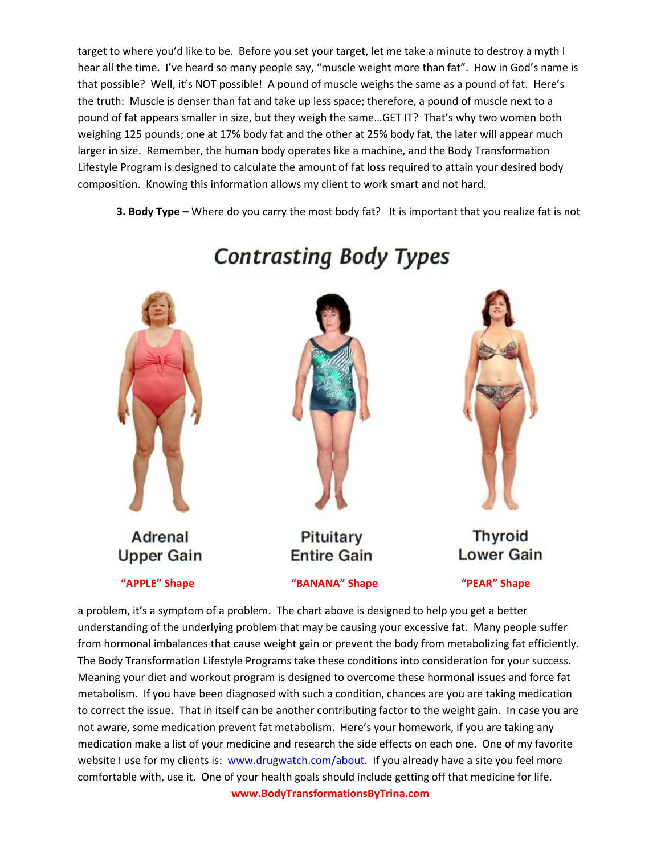target to where you'd like to be. Before you set your target, let me take a minute to destroy a myth I hear all the time. I've heard so many people say, "muscle weight more than fat". How in God's name is that possible? Well, it's NOT possible! A pound of muscle weighs the same as a pound of fat. Here's the truth: Muscle is denser than fat and take up less space; therefore, a pound of muscle next to a pound of fat appears smaller in size, but they weigh the same…GET IT? That's why two women both weighing 125 pounds; one at 17% body fat and the other at 25% body fat, the later will appear much larger in size. Remember, the human body operates like a machine, and the Body Transformation Lifestyle Program is designed to calculate the amount of fat loss required to attain your desired body composition. Knowing this information allows my client to work smart and not hard.

**3. Body Type –** Where do you carry the most body fat? It is important that you realize fat is not



**Contrasting Body Types** 

**www.BodyTransformationsByTrina.com** a problem, it's a symptom of a problem. The chart above is designed to help you get a better understanding of the underlying problem that may be causing your excessive fat. Many people suffer from hormonal imbalances that cause weight gain or prevent the body from metabolizing fat efficiently. The Body Transformation Lifestyle Programs take these conditions into consideration for your success. Meaning your diet and workout program is designed to overcome these hormonal issues and force fat metabolism. If you have been diagnosed with such a condition, chances are you are taking medication to correct the issue. That in itself can be another contributing factor to the weight gain. In case you are not aware, some medication prevent fat metabolism. Here's your homework, if you are taking any medication make a list of your medicine and research the side effects on each one. One of my favorite website I use for my clients is: [www.drugwatch.com/about.](http://www.drugwatch.com/about) If you already have a site you feel more comfortable with, use it. One of your health goals should include getting off that medicine for life.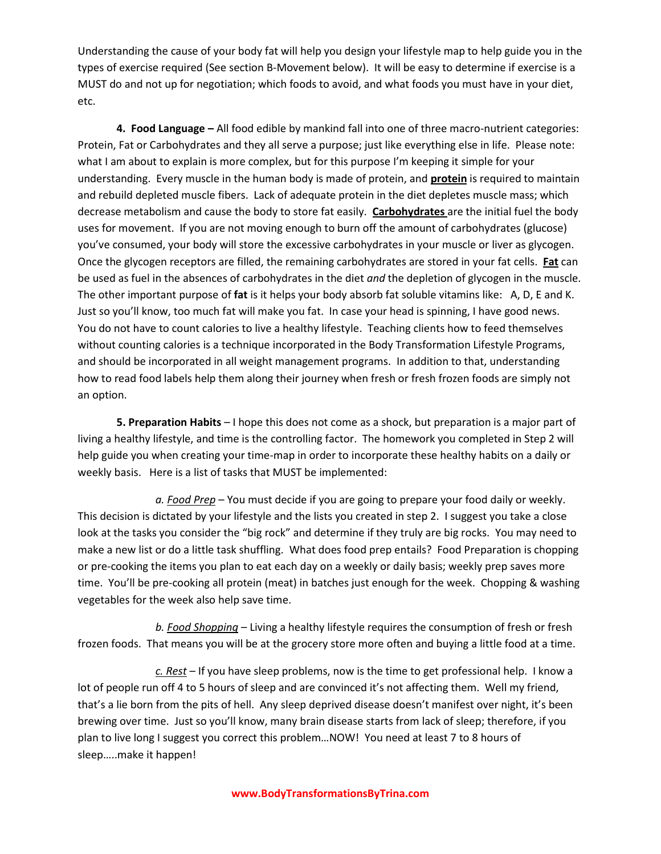Understanding the cause of your body fat will help you design your lifestyle map to help guide you in the types of exercise required (See section B-Movement below). It will be easy to determine if exercise is a MUST do and not up for negotiation; which foods to avoid, and what foods you must have in your diet, etc.

**4. Food Language –** All food edible by mankind fall into one of three macro-nutrient categories: Protein, Fat or Carbohydrates and they all serve a purpose; just like everything else in life. Please note: what I am about to explain is more complex, but for this purpose I'm keeping it simple for your understanding. Every muscle in the human body is made of protein, and **protein** is required to maintain and rebuild depleted muscle fibers. Lack of adequate protein in the diet depletes muscle mass; which decrease metabolism and cause the body to store fat easily. **Carbohydrates** are the initial fuel the body uses for movement. If you are not moving enough to burn off the amount of carbohydrates (glucose) you've consumed, your body will store the excessive carbohydrates in your muscle or liver as glycogen. Once the glycogen receptors are filled, the remaining carbohydrates are stored in your fat cells. **Fat** can be used as fuel in the absences of carbohydrates in the diet *and* the depletion of glycogen in the muscle. The other important purpose of **fat** is it helps your body absorb fat soluble vitamins like: A, D, E and K. Just so you'll know, too much fat will make you fat. In case your head is spinning, I have good news. You do not have to count calories to live a healthy lifestyle. Teaching clients how to feed themselves without counting calories is a technique incorporated in the Body Transformation Lifestyle Programs, and should be incorporated in all weight management programs. In addition to that, understanding how to read food labels help them along their journey when fresh or fresh frozen foods are simply not an option.

**5. Preparation Habits** – I hope this does not come as a shock, but preparation is a major part of living a healthy lifestyle, and time is the controlling factor. The homework you completed in Step 2 will help guide you when creating your time-map in order to incorporate these healthy habits on a daily or weekly basis. Here is a list of tasks that MUST be implemented:

*a. Food Prep* – You must decide if you are going to prepare your food daily or weekly. This decision is dictated by your lifestyle and the lists you created in step 2. I suggest you take a close look at the tasks you consider the "big rock" and determine if they truly are big rocks. You may need to make a new list or do a little task shuffling. What does food prep entails? Food Preparation is chopping or pre-cooking the items you plan to eat each day on a weekly or daily basis; weekly prep saves more time. You'll be pre-cooking all protein (meat) in batches just enough for the week. Chopping & washing vegetables for the week also help save time.

*b. Food Shopping* – Living a healthy lifestyle requires the consumption of fresh or fresh frozen foods. That means you will be at the grocery store more often and buying a little food at a time.

*c. Rest* – If you have sleep problems, now is the time to get professional help. I know a lot of people run off 4 to 5 hours of sleep and are convinced it's not affecting them. Well my friend, that's a lie born from the pits of hell. Any sleep deprived disease doesn't manifest over night, it's been brewing over time. Just so you'll know, many brain disease starts from lack of sleep; therefore, if you plan to live long I suggest you correct this problem…NOW! You need at least 7 to 8 hours of sleep…..make it happen!